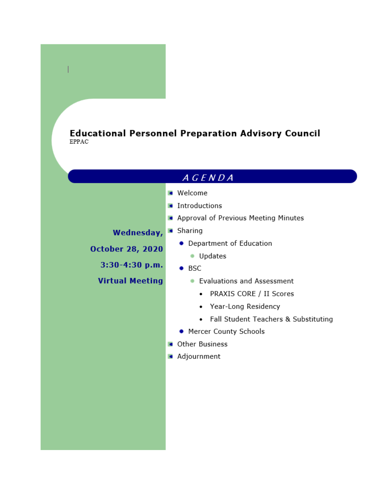# **Educational Personnel Preparation Advisory Council EPPAC**

# $A G E N D A$

- **Welcome**
- **Introductions**
- Approval of Previous Meeting Minutes

# Wednesday, . Sharing

**October 28, 2020** 

 $3:30-4:30$  p.m.

**Virtual Meeting** 

- Department of Education
	- · Updates
- $-$  BSC
	- Evaluations and Assessment
		- PRAXIS CORE / II Scores
		- Year-Long Residency
		- Fall Student Teachers & Substituting
- Mercer County Schools
- **Calcular** Other Business
- **Adjournment**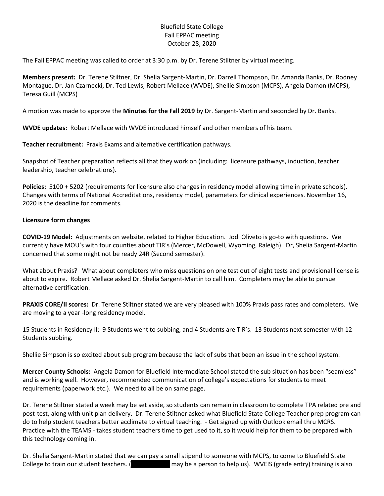#### Bluefield State College Fall EPPAC meeting October 28, 2020

The Fall EPPAC meeting was called to order at 3:30 p.m. by Dr. Terene Stiltner by virtual meeting.

**Members present:** Dr. Terene Stiltner, Dr. Shelia Sargent-Martin, Dr. Darrell Thompson, Dr. Amanda Banks, Dr. Rodney Montague, Dr. Jan Czarnecki, Dr. Ted Lewis, Robert Mellace (WVDE), Shellie Simpson (MCPS), Angela Damon (MCPS), Teresa Guill (MCPS)

A motion was made to approve the **Minutes for the Fall 2019** by Dr. Sargent-Martin and seconded by Dr. Banks.

**WVDE updates:** Robert Mellace with WVDE introduced himself and other members of his team.

**Teacher recruitment:** Praxis Exams and alternative certification pathways.

Snapshot of Teacher preparation reflects all that they work on (including: licensure pathways, induction, teacher leadership, teacher celebrations).

**Policies:** 5100 + 5202 (requirements for licensure also changes in residency model allowing time in private schools). Changes with terms of National Accreditations, residency model, parameters for clinical experiences. November 16, 2020 is the deadline for comments.

#### **Licensure form changes**

**COVID-19 Model:** Adjustments on website, related to Higher Education. Jodi Oliveto is go-to with questions. We currently have MOU's with four counties about TIR's (Mercer, McDowell, Wyoming, Raleigh). Dr, Shelia Sargent-Martin concerned that some might not be ready 24R (Second semester).

What about Praxis? What about completers who miss questions on one test out of eight tests and provisional license is about to expire. Robert Mellace asked Dr. Shelia Sargent-Martin to call him. Completers may be able to pursue alternative certification.

**PRAXIS CORE/II scores:** Dr. Terene Stiltner stated we are very pleased with 100% Praxis pass rates and completers. We are moving to a year -long residency model.

15 Students in Residency II: 9 Students went to subbing, and 4 Students are TIR's. 13 Students next semester with 12 Students subbing.

Shellie Simpson is so excited about sub program because the lack of subs that been an issue in the school system.

**Mercer County Schools:** Angela Damon for Bluefield Intermediate School stated the sub situation has been "seamless" and is working well. However, recommended communication of college's expectations for students to meet requirements (paperwork etc.). We need to all be on same page.

Dr. Terene Stiltner stated a week may be set aside, so students can remain in classroom to complete TPA related pre and post-test, along with unit plan delivery. Dr. Terene Stiltner asked what Bluefield State College Teacher prep program can do to help student teachers better acclimate to virtual teaching. - Get signed up with Outlook email thru MCRS. Practice with the TEAMS - takes student teachers time to get used to it, so it would help for them to be prepared with this technology coming in.

Dr. Shelia Sargent-Martin stated that we can pay a small stipend to someone with MCPS, to come to Bluefield State College to train our student teachers. (Amanda Ether may be a person to help us). WVEIS (grade entry) training is also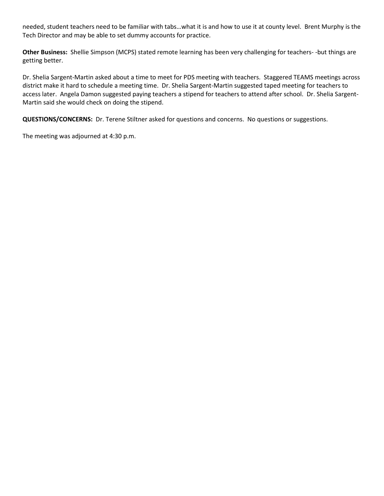needed, student teachers need to be familiar with tabs…what it is and how to use it at county level. Brent Murphy is the Tech Director and may be able to set dummy accounts for practice.

**Other Business:** Shellie Simpson (MCPS) stated remote learning has been very challenging for teachers- -but things are getting better.

Dr. Shelia Sargent-Martin asked about a time to meet for PDS meeting with teachers. Staggered TEAMS meetings across district make it hard to schedule a meeting time. Dr. Shelia Sargent-Martin suggested taped meeting for teachers to access later. Angela Damon suggested paying teachers a stipend for teachers to attend after school. Dr. Shelia Sargent-Martin said she would check on doing the stipend.

**QUESTIONS/CONCERNS:** Dr. Terene Stiltner asked for questions and concerns. No questions or suggestions.

The meeting was adjourned at 4:30 p.m.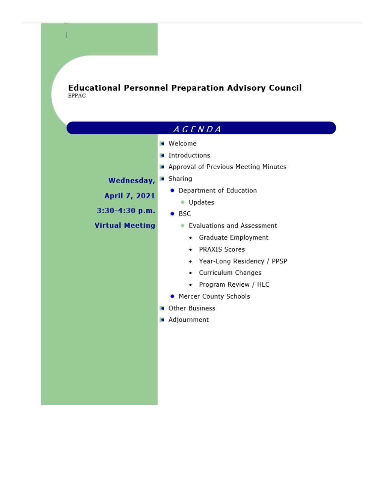**Educational Personnel Preparation Advisory Council**<br>EPPAC

| A G E N D A            |                                         |
|------------------------|-----------------------------------------|
|                        | <b>Welcome</b>                          |
|                        | Introductions                           |
|                        | Approval of Previous Meeting Minutes    |
| Wednesday,             | • Sharing                               |
| April 7, 2021          | • Department of Education               |
|                        | Updates                                 |
| $3:30-4:30$ p.m.       | ⊦ BSC                                   |
| <b>Virtual Meeting</b> | <b>Evaluations and Assessment</b>       |
|                        | Graduate Employment<br>٠                |
|                        | <b>PRAXIS Scores</b><br>٠               |
|                        | Year-Long Residency / PPSP<br>$\bullet$ |
|                        | Curriculum Changes                      |
|                        | Program Review / HLC<br>٠               |
|                        | • Mercer County Schools                 |
|                        | Other Business                          |
|                        | • Adjournment                           |
|                        |                                         |
|                        |                                         |
|                        |                                         |
|                        |                                         |
|                        |                                         |
|                        |                                         |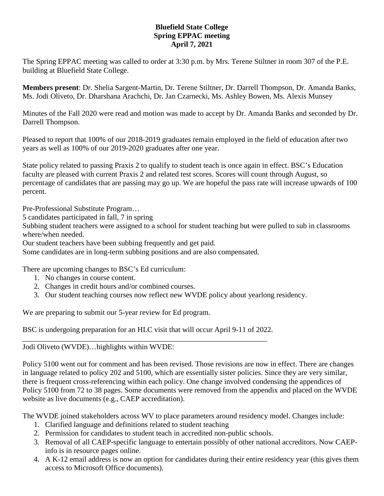## **Bluefield State College Spring EPPAC meeting April 7, 2021**

The Spring EPPAC meeting was called to order at 3:30 p.m. by Mrs. Terene Stiltner in room 307 of the P.E. building at Bluefield State College.

**Members present**: Dr. Shelia Sargent-Martin, Dr. Terene Stiltner, Dr. Darrell Thompson, Dr. Amanda Banks, Ms. Jodi Oliveto, Dr. Dharshana Arachchi, Dr. Jan Czarnecki, Ms. Ashley Bowen, Ms. Alexis Munsey

Minutes of the Fall 2020 were read and motion was made to accept by Dr. Amanda Banks and seconded by Dr. Darrell Thompson.

Pleased to report that 100% of our 2018-2019 graduates remain employed in the field of education after two years as well as 100% of our 2019-2020 graduates after one year.

State policy related to passing Praxis 2 to qualify to student teach is once again in effect. BSC's Education faculty are pleased with current Praxis 2 and related test scores. Scores will count through August, so percentage of candidates that are passing may go up. We are hopeful the pass rate will increase upwards of 100 percent.

Pre-Professional Substitute Program…

5 candidates participated in fall, 7 in spring

Subbing student teachers were assigned to a school for student teaching but were pulled to sub in classrooms where/when needed.

Our student teachers have been subbing frequently and get paid.

Some candidates are in long-term subbing positions and are also compensated.

There are upcoming changes to BSC's Ed curriculum:

- 1. No changes in course content.
- 2. Changes in credit hours and/or combined courses.
- 3. Our student teaching courses now reflect new WVDE policy about yearlong residency.

We are preparing to submit our 5-year review for Ed program.

BSC is undergoing preparation for an HLC visit that will occur April 9-11 of 2022. \_\_\_\_\_\_\_\_\_\_\_\_\_\_\_\_\_\_\_\_\_\_\_\_\_\_\_\_\_\_\_\_\_\_\_\_\_\_\_\_\_\_\_\_\_\_\_\_\_\_\_\_\_\_\_\_\_\_\_\_\_\_\_\_\_

### Jodi Oliveto (WVDE)…highlights within WVDE:

Policy 5100 went out for comment and has been revised. Those revisions are now in effect. There are changes in language related to policy 202 and 5100, which are essentially sister policies. Since they are very similar, there is frequent cross-referencing within each policy. One change involved condensing the appendices of Policy 5100 from 72 to 38 pages. Some documents were removed from the appendix and placed on the WVDE website as live documents (e.g., CAEP accreditation).

The WVDE joined stakeholders across WV to place parameters around residency model. Changes include:

- 1. Clarified language and definitions related to student teaching
- 2. Permission for candidates to student teach in accredited non-public schools.
- 3. Removal of all CAEP-specific language to entertain possibly of other national accreditors. Now CAEPinfo is in resource pages online.
- 4. A K-12 email address is now an option for candidates during their entire residency year (this gives them access to Microsoft Office documents).